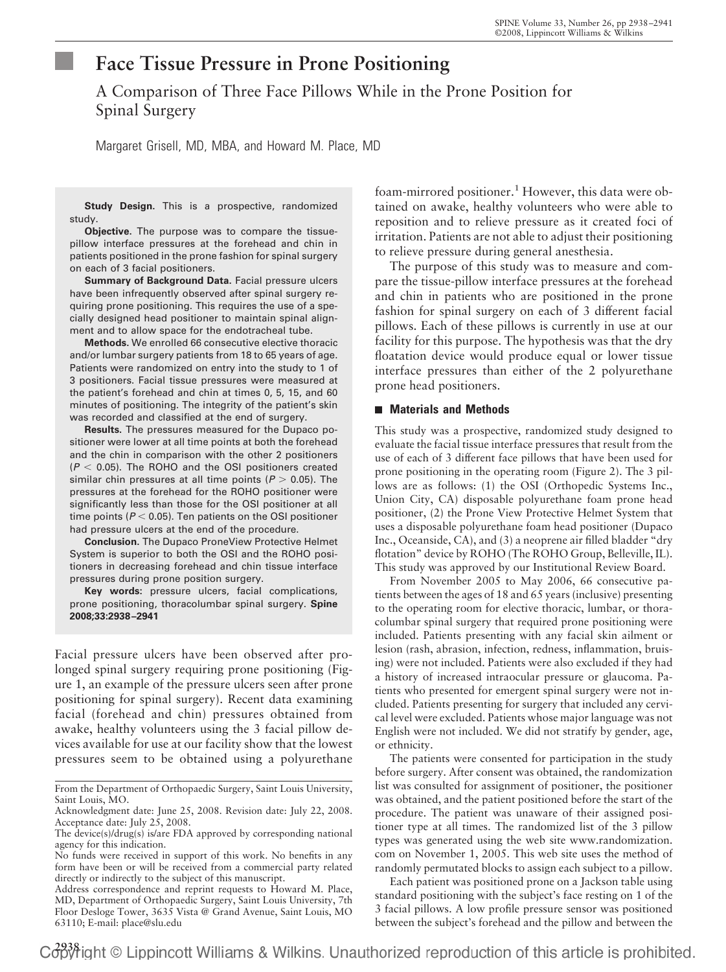# **Face Tissue Pressure in Prone Positioning**

A Comparison of Three Face Pillows While in the Prone Position for Spinal Surgery

Margaret Grisell, MD, MBA, and Howard M. Place, MD

**Study Design.** This is a prospective, randomized study.

**Objective.** The purpose was to compare the tissuepillow interface pressures at the forehead and chin in patients positioned in the prone fashion for spinal surgery on each of 3 facial positioners.

**Summary of Background Data.** Facial pressure ulcers have been infrequently observed after spinal surgery requiring prone positioning. This requires the use of a specially designed head positioner to maintain spinal alignment and to allow space for the endotracheal tube.

**Methods.** We enrolled 66 consecutive elective thoracic and/or lumbar surgery patients from 18 to 65 years of age. Patients were randomized on entry into the study to 1 of 3 positioners. Facial tissue pressures were measured at the patient's forehead and chin at times 0, 5, 15, and 60 minutes of positioning. The integrity of the patient's skin was recorded and classified at the end of surgery.

**Results.** The pressures measured for the Dupaco positioner were lower at all time points at both the forehead and the chin in comparison with the other 2 positioners  $(P < 0.05)$ . The ROHO and the OSI positioners created similar chin pressures at all time points ( $P > 0.05$ ). The pressures at the forehead for the ROHO positioner were significantly less than those for the OSI positioner at all time points ( $P < 0.05$ ). Ten patients on the OSI positioner had pressure ulcers at the end of the procedure.

**Conclusion.** The Dupaco ProneView Protective Helmet System is superior to both the OSI and the ROHO positioners in decreasing forehead and chin tissue interface pressures during prone position surgery.

**Key words:** pressure ulcers, facial complications, prone positioning, thoracolumbar spinal surgery. **Spine 2008;33:2938 –2941**

Facial pressure ulcers have been observed after prolonged spinal surgery requiring prone positioning (Figure 1, an example of the pressure ulcers seen after prone positioning for spinal surgery). Recent data examining facial (forehead and chin) pressures obtained from awake, healthy volunteers using the 3 facial pillow devices available for use at our facility show that the lowest pressures seem to be obtained using a polyurethane foam-mirrored positioner.<sup>1</sup> However, this data were obtained on awake, healthy volunteers who were able to reposition and to relieve pressure as it created foci of irritation. Patients are not able to adjust their positioning to relieve pressure during general anesthesia.

The purpose of this study was to measure and compare the tissue-pillow interface pressures at the forehead and chin in patients who are positioned in the prone fashion for spinal surgery on each of 3 different facial pillows. Each of these pillows is currently in use at our facility for this purpose. The hypothesis was that the dry floatation device would produce equal or lower tissue interface pressures than either of the 2 polyurethane prone head positioners.

## **Materials and Methods**

This study was a prospective, randomized study designed to evaluate the facial tissue interface pressures that result from the use of each of 3 different face pillows that have been used for prone positioning in the operating room (Figure 2). The 3 pillows are as follows: (1) the OSI (Orthopedic Systems Inc., Union City, CA) disposable polyurethane foam prone head positioner, (2) the Prone View Protective Helmet System that uses a disposable polyurethane foam head positioner (Dupaco Inc., Oceanside, CA), and (3) a neoprene air filled bladder "dry flotation" device by ROHO (The ROHO Group, Belleville, IL). This study was approved by our Institutional Review Board.

From November 2005 to May 2006, 66 consecutive patients between the ages of 18 and 65 years (inclusive) presenting to the operating room for elective thoracic, lumbar, or thoracolumbar spinal surgery that required prone positioning were included. Patients presenting with any facial skin ailment or lesion (rash, abrasion, infection, redness, inflammation, bruising) were not included. Patients were also excluded if they had a history of increased intraocular pressure or glaucoma. Patients who presented for emergent spinal surgery were not included. Patients presenting for surgery that included any cervical level were excluded. Patients whose major language was not English were not included. We did not stratify by gender, age, or ethnicity.

The patients were consented for participation in the study before surgery. After consent was obtained, the randomization list was consulted for assignment of positioner, the positioner was obtained, and the patient positioned before the start of the procedure. The patient was unaware of their assigned positioner type at all times. The randomized list of the 3 pillow types was generated using the web site www.randomization. com on November 1, 2005. This web site uses the method of randomly permutated blocks to assign each subject to a pillow.

Each patient was positioned prone on a Jackson table using standard positioning with the subject's face resting on 1 of the 3 facial pillows. A low profile pressure sensor was positioned between the subject's forehead and the pillow and between the

C3838 ight © Lippincott Williams & Wilkins. Unauthorized reproduction of this article is prohibited.

From the Department of Orthopaedic Surgery, Saint Louis University, Saint Louis, MO.

Acknowledgment date: June 25, 2008. Revision date: July 22, 2008. Acceptance date: July 25, 2008.

The device(s)/drug(s) is/are FDA approved by corresponding national agency for this indication.

No funds were received in support of this work. No benefits in any form have been or will be received from a commercial party related directly or indirectly to the subject of this manuscript.

Address correspondence and reprint requests to Howard M. Place, MD, Department of Orthopaedic Surgery, Saint Louis University, 7th Floor Desloge Tower, 3635 Vista @ Grand Avenue, Saint Louis, MO 63110; E-mail: place@slu.edu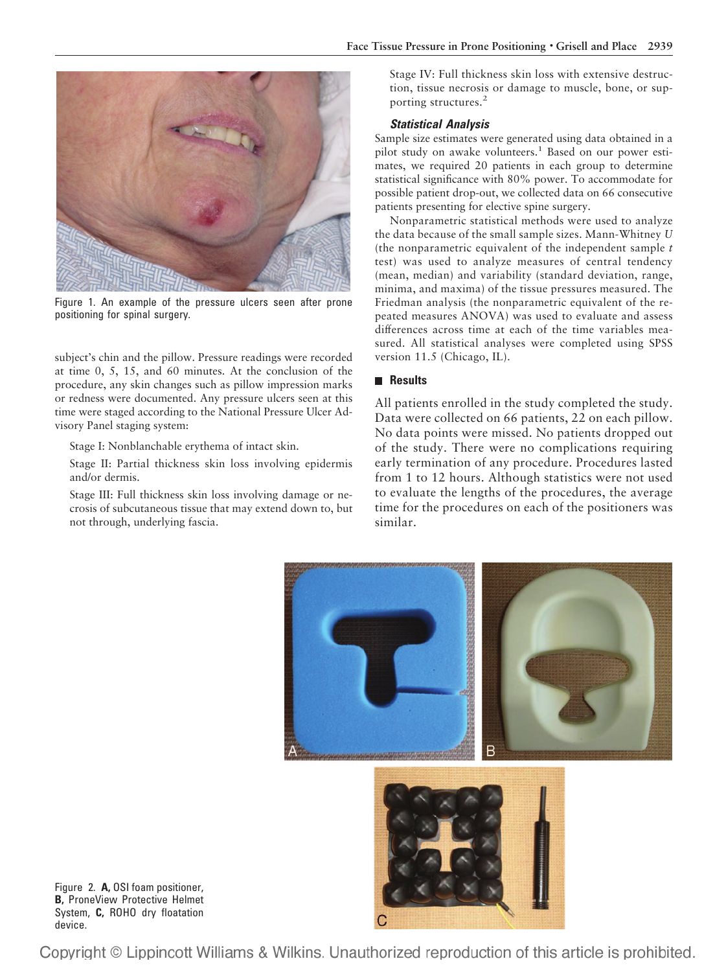

Figure 1. An example of the pressure ulcers seen after prone positioning for spinal surgery.

subject's chin and the pillow. Pressure readings were recorded at time 0, 5, 15, and 60 minutes. At the conclusion of the procedure, any skin changes such as pillow impression marks or redness were documented. Any pressure ulcers seen at this time were staged according to the National Pressure Ulcer Advisory Panel staging system:

Stage I: Nonblanchable erythema of intact skin.

Stage II: Partial thickness skin loss involving epidermis and/or dermis.

Stage III: Full thickness skin loss involving damage or necrosis of subcutaneous tissue that may extend down to, but not through, underlying fascia.

Stage IV: Full thickness skin loss with extensive destruction, tissue necrosis or damage to muscle, bone, or supporting structures.<sup>2</sup>

## *Statistical Analysis*

Sample size estimates were generated using data obtained in a pilot study on awake volunteers.<sup>1</sup> Based on our power estimates, we required 20 patients in each group to determine statistical significance with 80% power. To accommodate for possible patient drop-out, we collected data on 66 consecutive patients presenting for elective spine surgery.

Nonparametric statistical methods were used to analyze the data because of the small sample sizes. Mann-Whitney *U* (the nonparametric equivalent of the independent sample *t* test) was used to analyze measures of central tendency (mean, median) and variability (standard deviation, range, minima, and maxima) of the tissue pressures measured. The Friedman analysis (the nonparametric equivalent of the repeated measures ANOVA) was used to evaluate and assess differences across time at each of the time variables measured. All statistical analyses were completed using SPSS version 11.5 (Chicago, IL).

## **Results**

All patients enrolled in the study completed the study. Data were collected on 66 patients, 22 on each pillow. No data points were missed. No patients dropped out of the study. There were no complications requiring early termination of any procedure. Procedures lasted from 1 to 12 hours. Although statistics were not used to evaluate the lengths of the procedures, the average time for the procedures on each of the positioners was similar.



Figure 2. **A,** OSI foam positioner, **B,** ProneView Protective Helmet System, **C,** ROHO dry floatation device.

Copyright © Lippincott Williams & Wilkins. Unauthorized reproduction of this article is prohibited.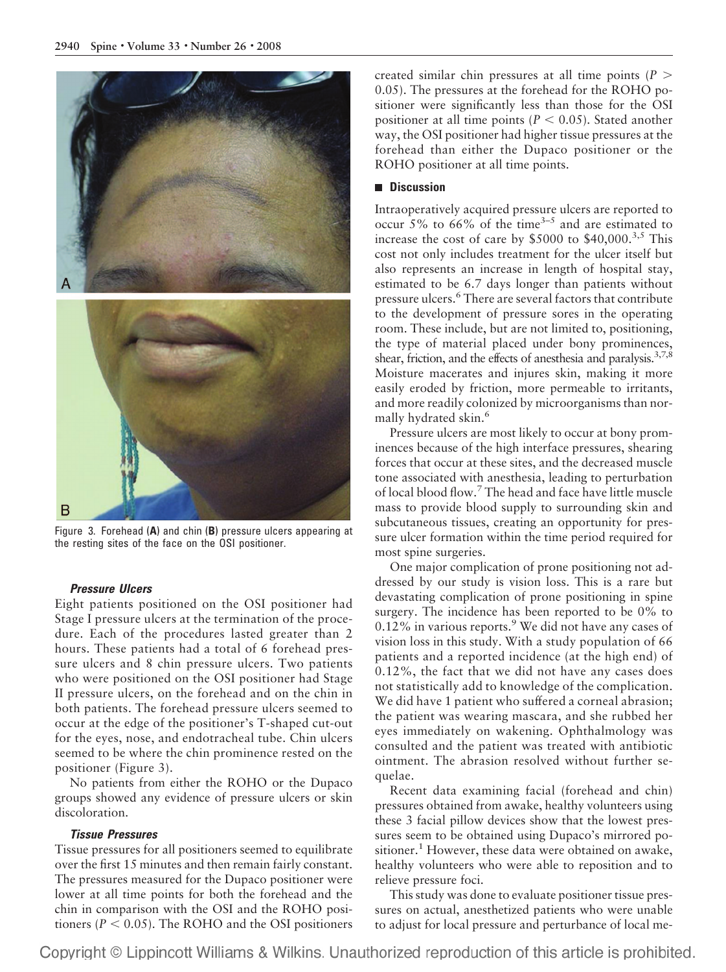

Figure 3. Forehead (**A**) and chin (**B**) pressure ulcers appearing at the resting sites of the face on the OSI positioner.

### *Pressure Ulcers*

Eight patients positioned on the OSI positioner had Stage I pressure ulcers at the termination of the procedure. Each of the procedures lasted greater than 2 hours. These patients had a total of 6 forehead pressure ulcers and 8 chin pressure ulcers. Two patients who were positioned on the OSI positioner had Stage II pressure ulcers, on the forehead and on the chin in both patients. The forehead pressure ulcers seemed to occur at the edge of the positioner's T-shaped cut-out for the eyes, nose, and endotracheal tube. Chin ulcers seemed to be where the chin prominence rested on the positioner (Figure 3).

No patients from either the ROHO or the Dupaco groups showed any evidence of pressure ulcers or skin discoloration.

# *Tissue Pressures*

Tissue pressures for all positioners seemed to equilibrate over the first 15 minutes and then remain fairly constant. The pressures measured for the Dupaco positioner were lower at all time points for both the forehead and the chin in comparison with the OSI and the ROHO positioners ( $P < 0.05$ ). The ROHO and the OSI positioners

created similar chin pressures at all time points (*P* - 0.05). The pressures at the forehead for the ROHO positioner were significantly less than those for the OSI positioner at all time points  $(P < 0.05)$ . Stated another way, the OSI positioner had higher tissue pressures at the forehead than either the Dupaco positioner or the ROHO positioner at all time points.

# **Discussion**

Intraoperatively acquired pressure ulcers are reported to occur 5% to 66% of the time<sup>3–5</sup> and are estimated to increase the cost of care by  $$5000$  to  $$40,000.<sup>3,5</sup>$  This cost not only includes treatment for the ulcer itself but also represents an increase in length of hospital stay, estimated to be 6.7 days longer than patients without pressure ulcers.6 There are several factors that contribute to the development of pressure sores in the operating room. These include, but are not limited to, positioning, the type of material placed under bony prominences, shear, friction, and the effects of anesthesia and paralysis.<sup>3,7,8</sup> Moisture macerates and injures skin, making it more easily eroded by friction, more permeable to irritants, and more readily colonized by microorganisms than normally hydrated skin.<sup>6</sup>

Pressure ulcers are most likely to occur at bony prominences because of the high interface pressures, shearing forces that occur at these sites, and the decreased muscle tone associated with anesthesia, leading to perturbation of local blood flow.7 The head and face have little muscle mass to provide blood supply to surrounding skin and subcutaneous tissues, creating an opportunity for pressure ulcer formation within the time period required for most spine surgeries.

One major complication of prone positioning not addressed by our study is vision loss. This is a rare but devastating complication of prone positioning in spine surgery. The incidence has been reported to be 0% to  $0.12\%$  in various reports.<sup>9</sup> We did not have any cases of vision loss in this study. With a study population of 66 patients and a reported incidence (at the high end) of 0.12%, the fact that we did not have any cases does not statistically add to knowledge of the complication. We did have 1 patient who suffered a corneal abrasion; the patient was wearing mascara, and she rubbed her eyes immediately on wakening. Ophthalmology was consulted and the patient was treated with antibiotic ointment. The abrasion resolved without further sequelae.

Recent data examining facial (forehead and chin) pressures obtained from awake, healthy volunteers using these 3 facial pillow devices show that the lowest pressures seem to be obtained using Dupaco's mirrored positioner.<sup>1</sup> However, these data were obtained on awake, healthy volunteers who were able to reposition and to relieve pressure foci.

This study was done to evaluate positioner tissue pressures on actual, anesthetized patients who were unable to adjust for local pressure and perturbance of local me-

Copyright © Lippincott Williams & Wilkins. Unauthorized reproduction of this article is prohibited.